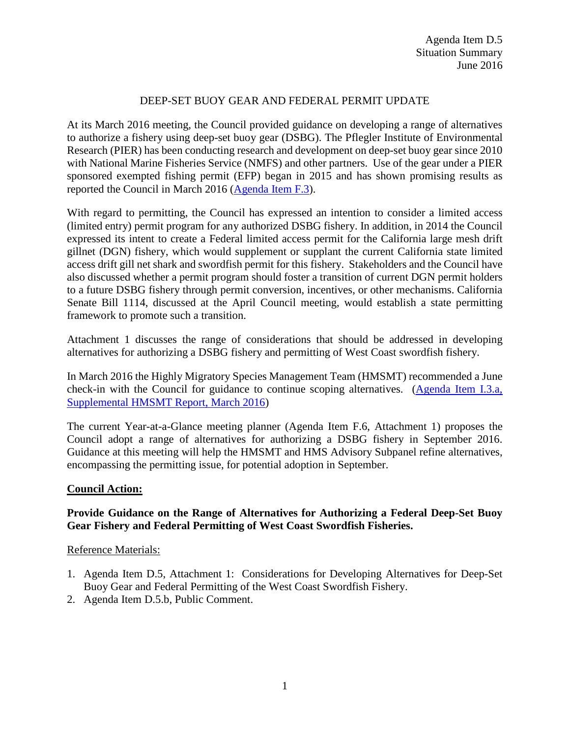## DEEP-SET BUOY GEAR AND FEDERAL PERMIT UPDATE

At its March 2016 meeting, the Council provided guidance on developing a range of alternatives to authorize a fishery using deep-set buoy gear (DSBG). The Pflegler Institute of Environmental Research (PIER) has been conducting research and development on deep-set buoy gear since 2010 with National Marine Fisheries Service (NMFS) and other partners. Use of the gear under a PIER sponsored exempted fishing permit (EFP) began in 2015 and has shown promising results as reported the Council in March 2016 [\(Agenda Item F.3\)](http://www.pcouncil.org/wp-content/uploads/2016/02/F3__SitSum_DSBG_Scoping_MAR2016BB.pdf).

With regard to permitting, the Council has expressed an intention to consider a limited access (limited entry) permit program for any authorized DSBG fishery. In addition, in 2014 the Council expressed its intent to create a Federal limited access permit for the California large mesh drift gillnet (DGN) fishery, which would supplement or supplant the current California state limited access drift gill net shark and swordfish permit for this fishery. Stakeholders and the Council have also discussed whether a permit program should foster a transition of current DGN permit holders to a future DSBG fishery through permit conversion, incentives, or other mechanisms. California Senate Bill 1114, discussed at the April Council meeting, would establish a state permitting framework to promote such a transition.

Attachment 1 discusses the range of considerations that should be addressed in developing alternatives for authorizing a DSBG fishery and permitting of West Coast swordfish fishery.

In March 2016 the Highly Migratory Species Management Team (HMSMT) recommended a June check-in with the Council for guidance to continue scoping alternatives. [\(Agenda Item I.3.a,](http://www.pcouncil.org/wp-content/uploads/2016/03/I3a_Sup_HMSMT_Rpt_MAR2016BB.pdf)  [Supplemental HMSMT Report, March 2016\)](http://www.pcouncil.org/wp-content/uploads/2016/03/I3a_Sup_HMSMT_Rpt_MAR2016BB.pdf)

The current Year-at-a-Glance meeting planner (Agenda Item F.6, Attachment 1) proposes the Council adopt a range of alternatives for authorizing a DSBG fishery in September 2016. Guidance at this meeting will help the HMSMT and HMS Advisory Subpanel refine alternatives, encompassing the permitting issue, for potential adoption in September.

### **Council Action:**

## **Provide Guidance on the Range of Alternatives for Authorizing a Federal Deep-Set Buoy Gear Fishery and Federal Permitting of West Coast Swordfish Fisheries.**

### Reference Materials:

- 1. Agenda Item D.5, Attachment 1: Considerations for Developing Alternatives for Deep-Set Buoy Gear and Federal Permitting of the West Coast Swordfish Fishery.
- 2. Agenda Item D.5.b, Public Comment.